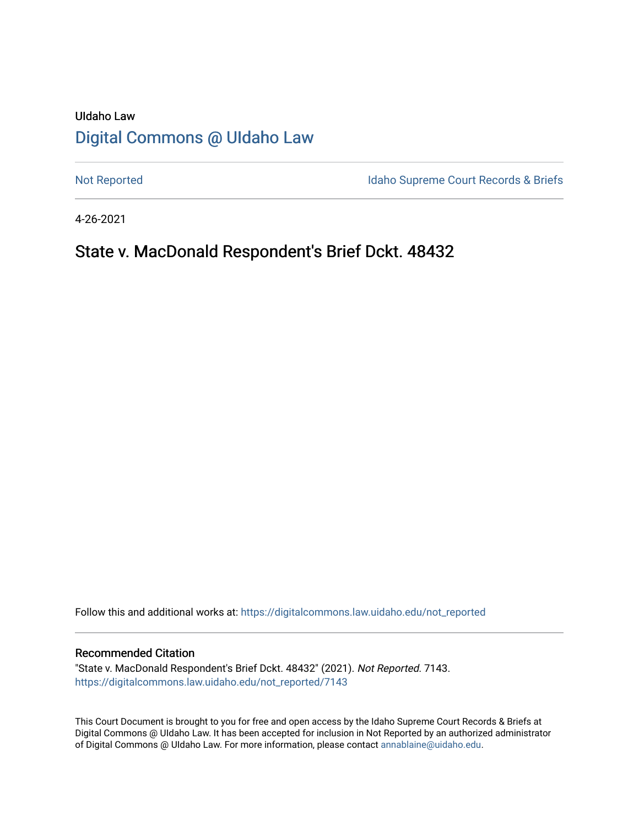# UIdaho Law [Digital Commons @ UIdaho Law](https://digitalcommons.law.uidaho.edu/)

[Not Reported](https://digitalcommons.law.uidaho.edu/not_reported) **Idaho Supreme Court Records & Briefs** 

4-26-2021

# State v. MacDonald Respondent's Brief Dckt. 48432

Follow this and additional works at: [https://digitalcommons.law.uidaho.edu/not\\_reported](https://digitalcommons.law.uidaho.edu/not_reported?utm_source=digitalcommons.law.uidaho.edu%2Fnot_reported%2F7143&utm_medium=PDF&utm_campaign=PDFCoverPages) 

#### Recommended Citation

"State v. MacDonald Respondent's Brief Dckt. 48432" (2021). Not Reported. 7143. [https://digitalcommons.law.uidaho.edu/not\\_reported/7143](https://digitalcommons.law.uidaho.edu/not_reported/7143?utm_source=digitalcommons.law.uidaho.edu%2Fnot_reported%2F7143&utm_medium=PDF&utm_campaign=PDFCoverPages)

This Court Document is brought to you for free and open access by the Idaho Supreme Court Records & Briefs at Digital Commons @ UIdaho Law. It has been accepted for inclusion in Not Reported by an authorized administrator of Digital Commons @ UIdaho Law. For more information, please contact [annablaine@uidaho.edu](mailto:annablaine@uidaho.edu).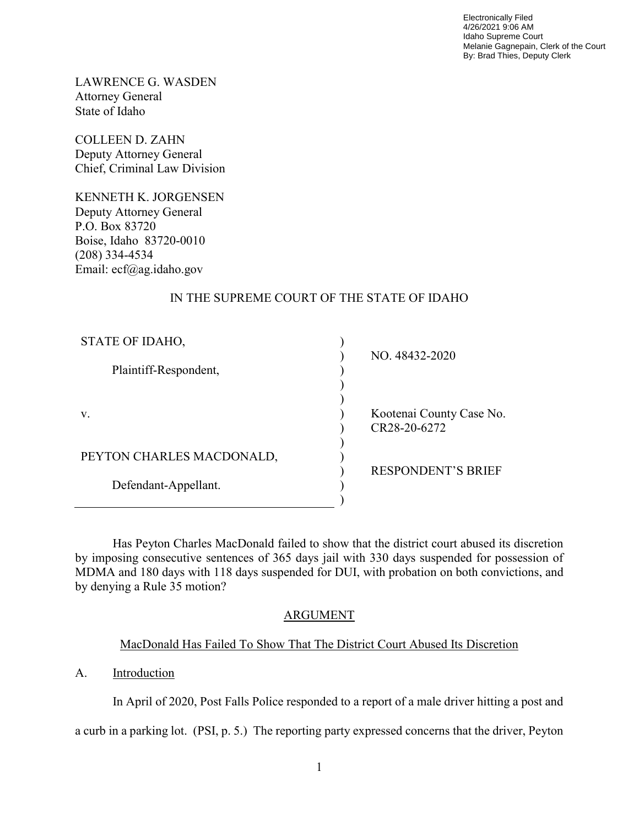Electronically Filed 4/26/2021 9:06 AM Idaho Supreme Court Melanie Gagnepain, Clerk of the Court By: Brad Thies, Deputy Clerk

LAWRENCE G. WASDEN Attorney General State of Idaho

COLLEEN D. ZAHN Deputy Attorney General Chief, Criminal Law Division

KENNETH K. JORGENSEN Deputy Attorney General P.O. Box 83720 Boise, Idaho 83720-0010 (208) 334-4534 Email: ecf@ag.idaho.gov

### IN THE SUPREME COURT OF THE STATE OF IDAHO

| STATE OF IDAHO,           |                                          |
|---------------------------|------------------------------------------|
| Plaintiff-Respondent,     | NO. 48432-2020                           |
| V.                        | Kootenai County Case No.<br>CR28-20-6272 |
| PEYTON CHARLES MACDONALD, |                                          |
| Defendant-Appellant.      | <b>RESPONDENT'S BRIEF</b>                |

 Has Peyton Charles MacDonald failed to show that the district court abused its discretion by imposing consecutive sentences of 365 days jail with 330 days suspended for possession of MDMA and 180 days with 118 days suspended for DUI, with probation on both convictions, and by denying a Rule 35 motion?

## ARGUMENT

## MacDonald Has Failed To Show That The District Court Abused Its Discretion

A. Introduction

In April of 2020, Post Falls Police responded to a report of a male driver hitting a post and

a curb in a parking lot. (PSI, p. 5.) The reporting party expressed concerns that the driver, Peyton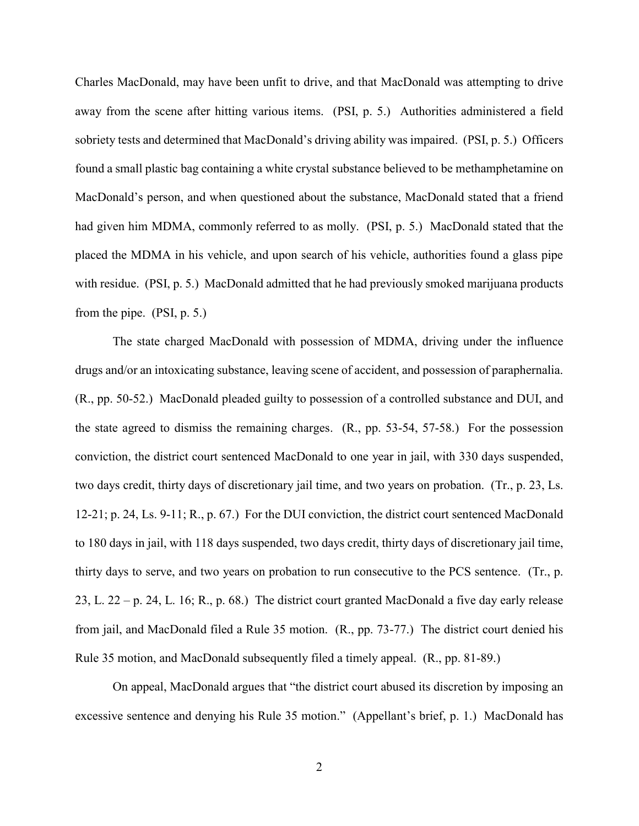Charles MacDonald, may have been unfit to drive, and that MacDonald was attempting to drive away from the scene after hitting various items. (PSI, p. 5.) Authorities administered a field sobriety tests and determined that MacDonald's driving ability was impaired. (PSI, p. 5.) Officers found a small plastic bag containing a white crystal substance believed to be methamphetamine on MacDonald's person, and when questioned about the substance, MacDonald stated that a friend had given him MDMA, commonly referred to as molly. (PSI, p. 5.) MacDonald stated that the placed the MDMA in his vehicle, and upon search of his vehicle, authorities found a glass pipe with residue. (PSI, p. 5.) MacDonald admitted that he had previously smoked marijuana products from the pipe. (PSI, p. 5.)

The state charged MacDonald with possession of MDMA, driving under the influence drugs and/or an intoxicating substance, leaving scene of accident, and possession of paraphernalia. (R., pp. 50-52.) MacDonald pleaded guilty to possession of a controlled substance and DUI, and the state agreed to dismiss the remaining charges. (R., pp. 53-54, 57-58.) For the possession conviction, the district court sentenced MacDonald to one year in jail, with 330 days suspended, two days credit, thirty days of discretionary jail time, and two years on probation. (Tr., p. 23, Ls. 12-21; p. 24, Ls. 9-11; R., p. 67.) For the DUI conviction, the district court sentenced MacDonald to 180 days in jail, with 118 days suspended, two days credit, thirty days of discretionary jail time, thirty days to serve, and two years on probation to run consecutive to the PCS sentence. (Tr., p. 23, L. 22 – p. 24, L. 16; R., p. 68.) The district court granted MacDonald a five day early release from jail, and MacDonald filed a Rule 35 motion. (R., pp. 73-77.) The district court denied his Rule 35 motion, and MacDonald subsequently filed a timely appeal. (R., pp. 81-89.)

On appeal, MacDonald argues that "the district court abused its discretion by imposing an excessive sentence and denying his Rule 35 motion." (Appellant's brief, p. 1.) MacDonald has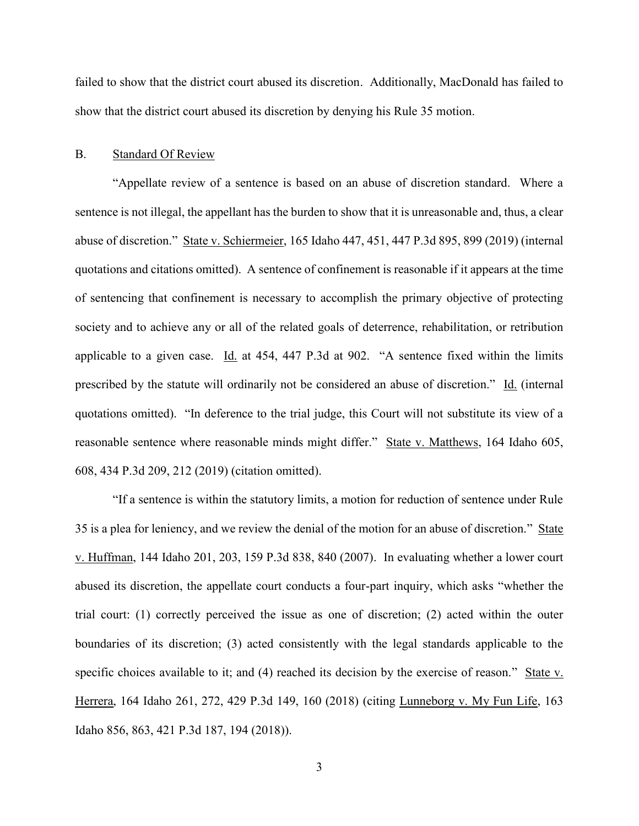failed to show that the district court abused its discretion. Additionally, MacDonald has failed to show that the district court abused its discretion by denying his Rule 35 motion.

#### B. Standard Of Review

"Appellate review of a sentence is based on an abuse of discretion standard. Where a sentence is not illegal, the appellant has the burden to show that it is unreasonable and, thus, a clear abuse of discretion." State v. Schiermeier, 165 Idaho 447, 451, 447 P.3d 895, 899 (2019) (internal quotations and citations omitted). A sentence of confinement is reasonable if it appears at the time of sentencing that confinement is necessary to accomplish the primary objective of protecting society and to achieve any or all of the related goals of deterrence, rehabilitation, or retribution applicable to a given case. Id. at 454, 447 P.3d at 902. "A sentence fixed within the limits prescribed by the statute will ordinarily not be considered an abuse of discretion." Id. (internal quotations omitted). "In deference to the trial judge, this Court will not substitute its view of a reasonable sentence where reasonable minds might differ." State v. Matthews, 164 Idaho 605, 608, 434 P.3d 209, 212 (2019) (citation omitted).

"If a sentence is within the statutory limits, a motion for reduction of sentence under Rule 35 is a plea for leniency, and we review the denial of the motion for an abuse of discretion." State v. Huffman, 144 Idaho 201, 203, 159 P.3d 838, 840 (2007). In evaluating whether a lower court abused its discretion, the appellate court conducts a four-part inquiry, which asks "whether the trial court: (1) correctly perceived the issue as one of discretion; (2) acted within the outer boundaries of its discretion; (3) acted consistently with the legal standards applicable to the specific choices available to it; and (4) reached its decision by the exercise of reason." State v. Herrera, 164 Idaho 261, 272, 429 P.3d 149, 160 (2018) (citing Lunneborg v. My Fun Life, 163 Idaho 856, 863, 421 P.3d 187, 194 (2018)).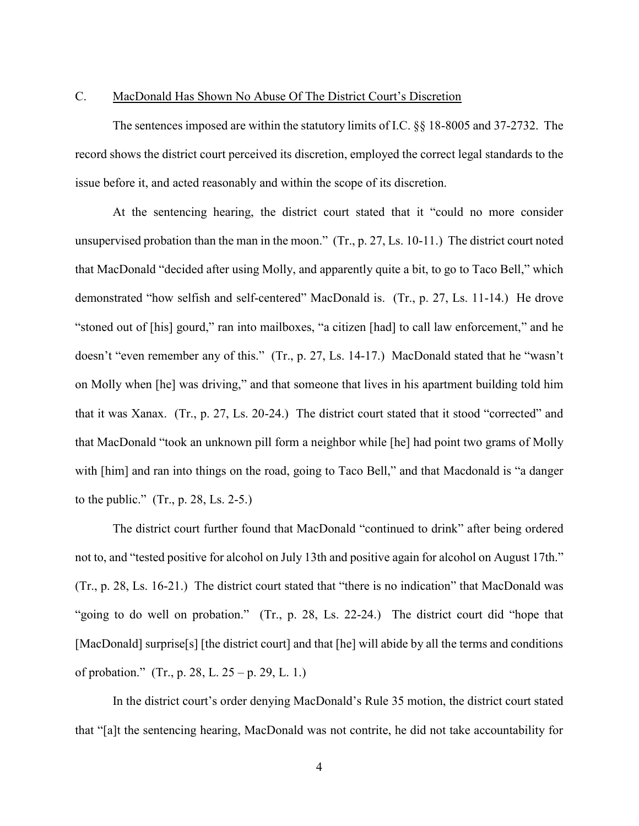### C. MacDonald Has Shown No Abuse Of The District Court's Discretion

The sentences imposed are within the statutory limits of I.C. §§ 18-8005 and 37-2732. The record shows the district court perceived its discretion, employed the correct legal standards to the issue before it, and acted reasonably and within the scope of its discretion.

At the sentencing hearing, the district court stated that it "could no more consider unsupervised probation than the man in the moon." (Tr., p. 27, Ls. 10-11.) The district court noted that MacDonald "decided after using Molly, and apparently quite a bit, to go to Taco Bell," which demonstrated "how selfish and self-centered" MacDonald is. (Tr., p. 27, Ls. 11-14.) He drove "stoned out of [his] gourd," ran into mailboxes, "a citizen [had] to call law enforcement," and he doesn't "even remember any of this." (Tr., p. 27, Ls. 14-17.) MacDonald stated that he "wasn't on Molly when [he] was driving," and that someone that lives in his apartment building told him that it was Xanax. (Tr., p. 27, Ls. 20-24.) The district court stated that it stood "corrected" and that MacDonald "took an unknown pill form a neighbor while [he] had point two grams of Molly with [him] and ran into things on the road, going to Taco Bell," and that Macdonald is "a danger to the public."  $(Tr, p. 28, Ls. 2-5.)$ 

The district court further found that MacDonald "continued to drink" after being ordered not to, and "tested positive for alcohol on July 13th and positive again for alcohol on August 17th." (Tr., p. 28, Ls. 16-21.) The district court stated that "there is no indication" that MacDonald was "going to do well on probation." (Tr., p. 28, Ls. 22-24.) The district court did "hope that [MacDonald] surprise[s] [the district court] and that [he] will abide by all the terms and conditions of probation." (Tr., p. 28, L. 25 – p. 29, L. 1.)

In the district court's order denying MacDonald's Rule 35 motion, the district court stated that "[a]t the sentencing hearing, MacDonald was not contrite, he did not take accountability for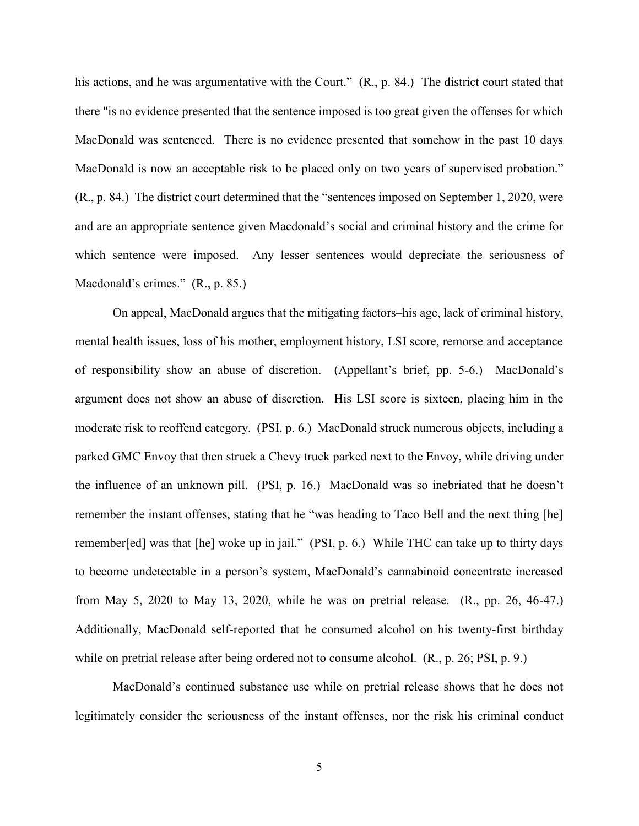his actions, and he was argumentative with the Court." (R., p. 84.) The district court stated that there "is no evidence presented that the sentence imposed is too great given the offenses for which MacDonald was sentenced. There is no evidence presented that somehow in the past 10 days MacDonald is now an acceptable risk to be placed only on two years of supervised probation." (R., p. 84.) The district court determined that the "sentences imposed on September 1, 2020, were and are an appropriate sentence given Macdonald's social and criminal history and the crime for which sentence were imposed. Any lesser sentences would depreciate the seriousness of Macdonald's crimes." (R., p. 85.)

On appeal, MacDonald argues that the mitigating factors–his age, lack of criminal history, mental health issues, loss of his mother, employment history, LSI score, remorse and acceptance of responsibility–show an abuse of discretion. (Appellant's brief, pp. 5-6.) MacDonald's argument does not show an abuse of discretion. His LSI score is sixteen, placing him in the moderate risk to reoffend category. (PSI, p. 6.) MacDonald struck numerous objects, including a parked GMC Envoy that then struck a Chevy truck parked next to the Envoy, while driving under the influence of an unknown pill. (PSI, p. 16.) MacDonald was so inebriated that he doesn't remember the instant offenses, stating that he "was heading to Taco Bell and the next thing [he] remember[ed] was that [he] woke up in jail." (PSI, p. 6.) While THC can take up to thirty days to become undetectable in a person's system, MacDonald's cannabinoid concentrate increased from May 5, 2020 to May 13, 2020, while he was on pretrial release. (R., pp. 26, 46-47.) Additionally, MacDonald self-reported that he consumed alcohol on his twenty-first birthday while on pretrial release after being ordered not to consume alcohol. (R., p. 26; PSI, p. 9.)

MacDonald's continued substance use while on pretrial release shows that he does not legitimately consider the seriousness of the instant offenses, nor the risk his criminal conduct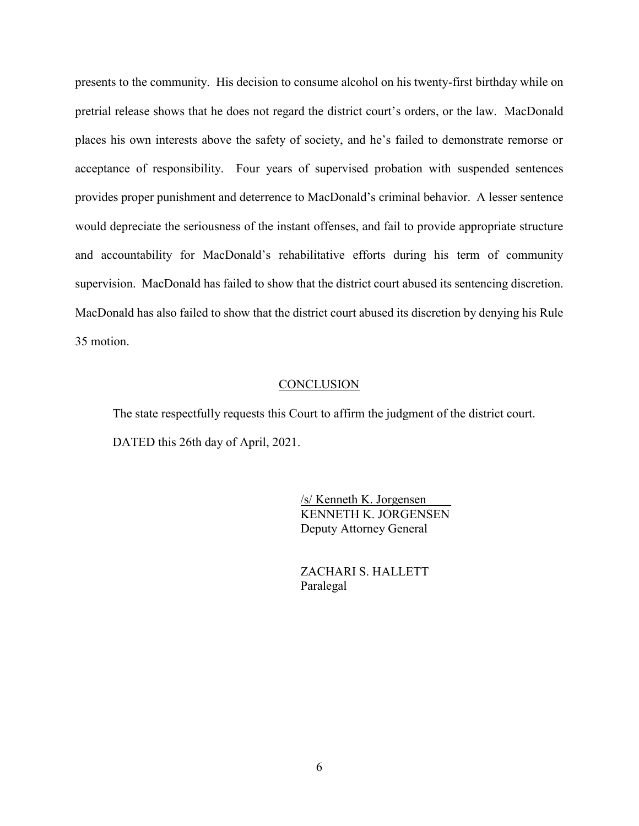presents to the community. His decision to consume alcohol on his twenty-first birthday while on pretrial release shows that he does not regard the district court's orders, or the law. MacDonald places his own interests above the safety of society, and he's failed to demonstrate remorse or acceptance of responsibility. Four years of supervised probation with suspended sentences provides proper punishment and deterrence to MacDonald's criminal behavior. A lesser sentence would depreciate the seriousness of the instant offenses, and fail to provide appropriate structure and accountability for MacDonald's rehabilitative efforts during his term of community supervision. MacDonald has failed to show that the district court abused its sentencing discretion. MacDonald has also failed to show that the district court abused its discretion by denying his Rule 35 motion.

#### **CONCLUSION**

 The state respectfully requests this Court to affirm the judgment of the district court. DATED this 26th day of April, 2021.

> /s/ Kenneth K. Jorgensen\_\_\_\_ KENNETH K. JORGENSEN Deputy Attorney General

 ZACHARI S. HALLETT Paralegal